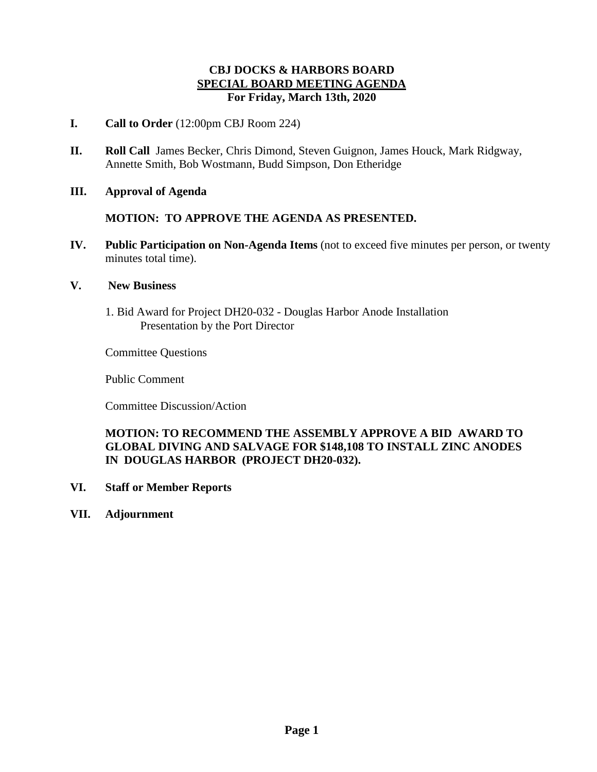### **CBJ DOCKS & HARBORS BOARD SPECIAL BOARD MEETING AGENDA For Friday, March 13th, 2020**

- **I. Call to Order** (12:00pm CBJ Room 224)
- **II. Roll Call** James Becker, Chris Dimond, Steven Guignon, James Houck, Mark Ridgway, Annette Smith, Bob Wostmann, Budd Simpson, Don Etheridge
- **III. Approval of Agenda**

#### **MOTION: TO APPROVE THE AGENDA AS PRESENTED.**

**IV. Public Participation on Non-Agenda Items** (not to exceed five minutes per person, or twenty minutes total time).

#### **V. New Business**

1. Bid Award for Project DH20-032 - Douglas Harbor Anode Installation Presentation by the Port Director

Committee Questions

Public Comment

Committee Discussion/Action

### **MOTION: TO RECOMMEND THE ASSEMBLY APPROVE A BID AWARD TO GLOBAL DIVING AND SALVAGE FOR \$148,108 TO INSTALL ZINC ANODES IN DOUGLAS HARBOR (PROJECT DH20-032).**

- **VI. Staff or Member Reports**
- **VII. Adjournment**